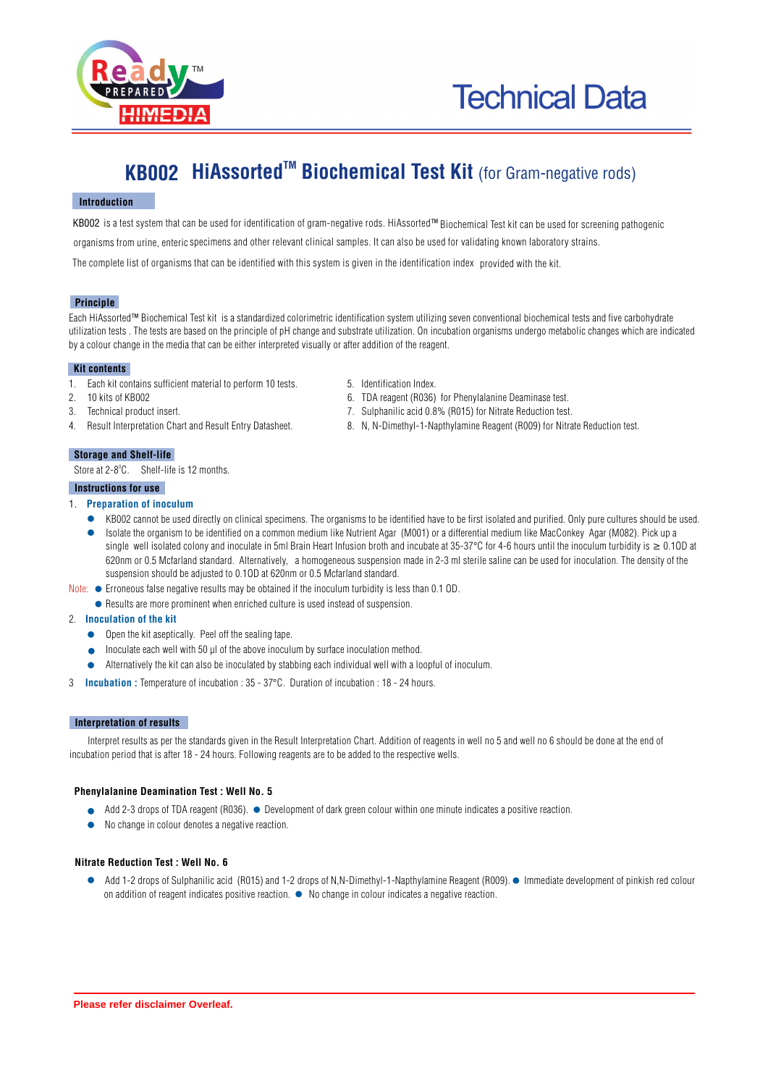

# **KB002 HiAssorted<sup>™</sup> Biochemical Test Kit (for Gram-negative rods)**

# **Introduction**

KB002 is a test system that can be used for identification of gram-negative rods. HiAssorted™ Biochemical Test kit can be used for screening pathogenic organisms from urine, enteric specimens and other relevant clinical samples. It can also be used for validating known laboratory strains.

The complete list of organisms that can be identified with this system is given in the identification index provided with the kit.

### **Principle**

Each HiAssorted™ Biochemical Test kit is a standardized colorimetric identification system utilizing seven conventional biochemical tests and five carbohydrate utilization tests . The tests are based on the principle of pH change and substrate utilization. On incubation organisms undergo metabolic changes which are indicated by a colour change in the media that can be either interpreted visually or after addition of the reagent.

### **Kit contents**

- 1. Each kit contains sufficient material to perform 10 tests. 5. Identification Index.
- 2. 10 kits of KB002 6. TDA reagent (R036) for Phenylalanine Deaminase test.
- 3. Technical product insert. 7. Sulphanilic acid 0.8% (R015) for Nitrate Reduction test.
- 4. Result Interpretation Chart and Result Entry Datasheet. 8. N, N-Dimethyl-1-Napthylamine Reagent (R009) for Nitrate Reduction test.

### **Storage and Shelf-life**

Store at  $2-8^\circ$ C. Shelf-life is 12 months.

### **Instructions for use**

### 1. **Preparation of inoculum**

- KB002 cannot be used directly on clinical specimens. The organisms to be identified have to be first isolated and purified. Only pure cultures should be used.
- Isolate the organism to be identified on a common medium like Nutrient Agar (M001) or a differential medium like MacConkey Agar (M082). Pick up a single well isolated colony and inoculate in 5ml Brain Heart Infusion broth and incubate at 35-37°C for 4-6 hours until the inoculum turbidity is  $\geq 0.10D$  at 620nm or 0.5 Mcfarland standard. Alternatively, a homogeneous suspension made in 2-3 ml sterile saline can be used for inoculation. The density of the suspension should be adjusted to 0.1OD at 620nm or 0.5 Mcfarland standard.
- Note:  $\bullet$  Erroneous false negative results may be obtained if the inoculum turbidity is less than 0.1 OD.
	- Results are more prominent when enriched culture is used instead of suspension.
- 2. **Inoculation of the kit** 
	- $\bullet$  Open the kit aseptically. Peel off the sealing tape.
	- Inoculate each well with 50  $\mu$ l of the above inoculum by surface inoculation method.
	- Alternatively the kit can also be inoculated by stabbing each individual well with a loopful of inoculum.
- 3 **Incubation :** Temperature of incubation : 35 37°C. Duration of incubation : 18 24 hours.

# **Interpretation of results**

Interpret results as per the standards given in the Result Interpretation Chart. Addition of reagents in well no 5 and well no 6 should be done at the end of incubation period that is after 18 - 24 hours. Following reagents are to be added to the respective wells.

### **Phenylalanine Deamination Test : Well No. 5**

- Add 2-3 drops of TDA reagent (R036). Development of dark green colour within one minute indicates a positive reaction.
- No change in colour denotes a negative reaction.  $\bullet$

### **Nitrate Reduction Test : Well No. 6**

● Add 1-2 drops of Sulphanilic acid (R015) and 1-2 drops of N,N-Dimethyl-1-Napthylamine Reagent (R009). ● Immediate development of pinkish red colour on addition of reagent indicates positive reaction.  $\bullet$  No change in colour indicates a negative reaction.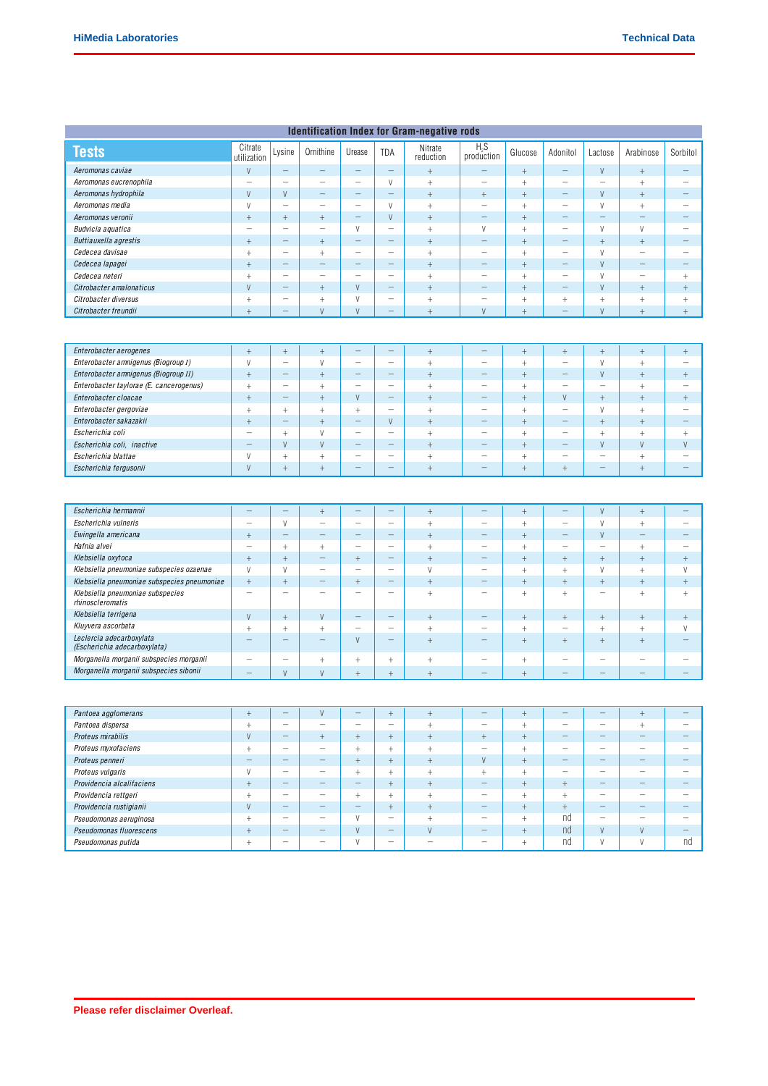# **Identification Index for Gram-negative rods**

| <b>Tests</b>                                                   | Citrate<br>utilization           | Lysine                             | Ornithine                        | Urease                                              | TDA                                                  | Nitrate<br>reduction             | $H_2S$<br>production                 | Glucose                          | Adonitol                                            | Lactose                            | Arabinose                   | Sorbitol                         |
|----------------------------------------------------------------|----------------------------------|------------------------------------|----------------------------------|-----------------------------------------------------|------------------------------------------------------|----------------------------------|--------------------------------------|----------------------------------|-----------------------------------------------------|------------------------------------|-----------------------------|----------------------------------|
| Aeromonas caviae                                               | $\vee$                           | $\overline{\phantom{0}}$           | $\overline{\phantom{0}}$         | $\qquad \qquad -$                                   | $\overline{\phantom{0}}$                             | $^{+}$                           | -                                    | $^{+}$                           | $\overline{\phantom{0}}$                            | V                                  | $\overline{+}$              | $\qquad \qquad -$                |
| Aeromonas eucrenophila                                         | $\qquad \qquad -$                | $\overline{\phantom{m}}$           | $\qquad \qquad -$                | $\overline{\phantom{0}}$                            | V                                                    | $\,$ + $\,$                      | $\overline{\phantom{0}}$             | $^{+}$                           | $\overline{\phantom{0}}$                            | $\overline{\phantom{m}}$           | $\qquad \qquad +$           | $\qquad \qquad -$                |
| Aeromonas hydrophila                                           | $\vee$                           | $\vee$                             | $\qquad \qquad -$                | $\qquad \qquad -$                                   | —                                                    | $^{+}$                           | $\! + \!$                            | $^{+}$                           | -                                                   | V                                  | $\ddot{}$                   | —                                |
| Aeromonas media                                                | V                                | $\overline{\phantom{m}}$           | $\qquad \qquad -$                | $\overline{\phantom{0}}$                            | V                                                    | $^+$                             | $\overline{\phantom{a}}$             | $^{+}$                           | $\qquad \qquad -$                                   | V                                  | $\qquad \qquad +$           | $\overline{\phantom{0}}$         |
| Aeromonas veronii                                              | $^{+}$                           | $^{+}$                             | $^{+}$                           | $\qquad \qquad -$                                   | V                                                    | $^{+}$                           | $\qquad \qquad$                      | $^{+}$                           | -                                                   | -                                  | $\qquad \qquad -$           | —                                |
| Budvicia aquatica                                              | $\qquad \qquad -$                |                                    |                                  | V                                                   | $\overline{\phantom{0}}$                             | $^{+}$                           | V                                    | $^{+}$                           | $\qquad \qquad -$                                   | V                                  | V                           | $\overline{\phantom{0}}$         |
| Buttiauxella agrestis                                          | $^{+}$                           | -                                  | $\begin{array}{c} + \end{array}$ | $\qquad \qquad -$                                   | —                                                    | $^{+}$                           | $\qquad \qquad -$                    | $^{+}$                           | $\overline{\phantom{0}}$                            | $^{+}$                             | $^{+}$                      | -                                |
| Cedecea davisae                                                | $^{+}$                           | $\overline{\phantom{m}}$           | $^{+}$                           | $\qquad \qquad -$                                   | $\qquad \qquad -$                                    | $^{+}$                           | $\qquad \qquad -$                    | $\ddag$                          | $\qquad \qquad -$                                   | $\vee$                             | $\overline{\phantom{a}}$    | $\overline{\phantom{0}}$         |
| Cedecea lapagei                                                | $^{+}$                           | -                                  | $\qquad \qquad -$                | $\overline{\phantom{m}}$                            | —                                                    | $^{+}$                           | $\qquad \qquad -$                    | $^{+}$                           | $\qquad \qquad$                                     | V                                  | $\overline{\phantom{a}}$    | $\overline{\phantom{0}}$         |
| Cedecea neteri                                                 | $^{+}$                           |                                    |                                  |                                                     | $\qquad \qquad$                                      | $^{+}$                           | $\qquad \qquad -$                    | $\ddag$                          | $\qquad \qquad -$                                   | $\vee$                             | $\overline{\phantom{a}}$    | $^{+}$                           |
| Citrobacter amalonaticus                                       | V                                | -                                  | $^{+}$                           | V                                                   | $\overline{\phantom{0}}$                             | $^{+}$                           | -                                    | $^{+}$                           | $\overline{\phantom{0}}$                            | V                                  | $\ddot{}$                   | $\begin{array}{c} + \end{array}$ |
| Citrobacter diversus                                           | $^{+}$                           | —                                  | $^{+}$                           | V                                                   | $\overline{\phantom{0}}$                             | $^+$                             | $\overline{\phantom{0}}$             | $^{+}$                           | $^+$                                                | $^{+}$                             | $^{+}$                      | $\begin{array}{c} + \end{array}$ |
| Citrobacter freundii                                           | $+$                              | $\equiv$                           | $\vee$                           | $\vee$                                              | $\qquad \qquad -$                                    | $^{+}$                           | $\vee$                               | $+$                              | $\overline{\phantom{0}}$                            | V                                  | $^{+}$                      | $+$                              |
|                                                                |                                  |                                    |                                  |                                                     |                                                      |                                  |                                      |                                  |                                                     |                                    |                             |                                  |
| Enterobacter aerogenes                                         | $^{+}$                           | $^+$                               | $\qquad \qquad +$                | $\qquad \qquad -$                                   | $\qquad \qquad -$                                    | $\! +$                           | $\equiv$                             | $^{+}$                           | $\! +$                                              | $\ddot{}$                          | $\ddot{}$                   | $^{+}$                           |
| Enterobacter amnigenus (Biogroup I)                            | V                                | L,                                 | $\mathsf{V}$                     |                                                     | $\overline{\phantom{0}}$                             | $^{+}$                           | $\overline{\phantom{0}}$             | $^{+}$                           | $\qquad \qquad -$                                   | $\vee$                             | $\ddot{}$                   |                                  |
| Enterobacter amnigenus (Biogroup II)                           | $^{+}$                           | $\overline{\phantom{0}}$           | $^{+}$                           | $\qquad \qquad -$                                   | $\overline{\phantom{0}}$                             | $^{+}$                           | -                                    | $^{+}$                           | $\qquad \qquad$                                     | V                                  | $^{+}$                      | $^{+}$                           |
| Enterobacter taylorae (E. cancerogenus)                        | $^{+}$                           | $\overline{\phantom{0}}$           | $^{+}$                           | $\overline{\phantom{0}}$                            |                                                      | $\overline{+}$                   |                                      | $^{+}$                           |                                                     | ÷                                  | $\ddot{}$                   |                                  |
| Enterobacter cloacae                                           | $^{+}$                           | -                                  | $\! +$                           | V                                                   | $\overline{\phantom{0}}$                             | $\! + \!\!\!\!$                  | —                                    | $^{+}$                           | V                                                   | $^{+}$                             | $^{+}$                      | $^{+}$                           |
| Enterobacter gergoviae                                         | $+$                              | $\begin{array}{c} + \end{array}$   | $^{+}$                           | $^{+}$                                              | $\overline{\phantom{0}}$                             | $^{+}$                           | $\overline{\phantom{m}}$             | $^{+}$                           | $\qquad \qquad$                                     | V                                  | $+$                         | $\overline{\phantom{0}}$         |
| Enterobacter sakazakii                                         | $^{+}$                           | $\overline{\phantom{0}}$           | $\begin{array}{c} + \end{array}$ | $\qquad \qquad -$                                   | V                                                    | $^{+}$                           | $\overline{\phantom{0}}$             | $^{+}$                           | $\overline{\phantom{0}}$                            | $^{+}$                             | $^{+}$                      | $\overline{\phantom{0}}$         |
| Escherichia coli                                               | $\qquad \qquad -$                | $^{+}$                             | V                                | $\qquad \qquad -$                                   | —                                                    | $^{+}$                           | $\qquad \qquad -$                    | $^{+}$                           | $\qquad \qquad -$                                   | $\! + \!\!\!\!$                    | $^{+}$                      | $+$                              |
| Escherichia coli, inactive                                     | $\overline{\phantom{0}}$         | $\vee$                             | V                                | $\qquad \qquad -$                                   | —                                                    | $^{+}$                           | $\overline{\phantom{0}}$             | $^{+}$                           | $\overline{\phantom{0}}$                            | V                                  | $\vee$                      | V                                |
| Escherichia blattae                                            | $\vee$                           | $\begin{array}{c} + \end{array}$   | $^{+}$                           | $\qquad \qquad$                                     | $\overline{\phantom{0}}$                             | $^{+}$                           | $\qquad \qquad -$                    | $^{+}$                           | $\qquad \qquad -$                                   | $\overline{\phantom{0}}$           | $^{+}$                      | $\qquad \qquad -$                |
| Escherichia fergusonii                                         | V                                | $\ddot{}$                          | $\! + \!$                        | $\overline{\phantom{0}}$                            | -                                                    | $\! + \!\!\!\!$                  | $\overline{\phantom{0}}$             | $^{+}$                           | $^{+}$                                              | $\overline{\phantom{0}}$           | $\overline{+}$              | $\overline{\phantom{0}}$         |
|                                                                |                                  |                                    |                                  |                                                     |                                                      |                                  |                                      |                                  |                                                     |                                    |                             |                                  |
| Escherichia hermannii                                          | $\overline{\phantom{0}}$         | $\overline{\phantom{0}}$           | $^{+}$                           | $\qquad \qquad -$                                   | $\overline{\phantom{0}}$                             | $+$                              | $\overline{\phantom{0}}$             | $^{+}$                           | $\qquad \qquad -$                                   | V                                  | $^{+}$                      |                                  |
| Escherichia vulneris                                           | $\qquad \qquad -$                | $\vee$                             | $\qquad \qquad -$                |                                                     | $\overline{\phantom{0}}$                             | $\ddot{}$                        | $\overline{\phantom{0}}$             | $^{+}$                           | $\qquad \qquad -$                                   | V                                  | $\qquad \qquad +$           | $\overline{\phantom{0}}$         |
| Ewingella americana                                            | $^{+}$                           | -                                  | $\qquad \qquad$                  | $\qquad \qquad -$                                   | —                                                    | $^{+}$                           | -                                    | $^{+}$                           | $\overline{\phantom{0}}$                            | V                                  | $\overline{\phantom{a}}$    |                                  |
| Hafnia alvei                                                   | $\qquad \qquad -$                | $^+$                               | $\qquad \qquad +$                | $\qquad \qquad -$                                   | $\overline{\phantom{0}}$                             | $^{+}$                           | $\overline{\phantom{0}}$<br>—        | $^{+}$                           | $\qquad \qquad -$                                   | $\qquad \qquad -$                  | $\ddot{}$                   | $\overline{\phantom{0}}$         |
| Klebsiella oxytoca<br>Klebsiella pneumoniae subspecies ozaenae | $^{+}$<br>$\vee$                 | $^{+}$<br>$\vee$                   | $\qquad \qquad -$                | $\begin{array}{c} + \end{array}$<br>$\qquad \qquad$ | —<br>$\qquad \qquad$                                 | $^{+}$<br>$\vee$                 | $\qquad \qquad -$                    | $^{+}$                           | $^{+}$<br>$^{+}$                                    | $^{+}$<br>$\vee$                   | $\overline{+}$<br>$\ddot{}$ | $^{+}$<br>V                      |
| Klebsiella pneumoniae subspecies pneumoniae                    | $^{+}$                           |                                    | $\qquad \qquad -$                |                                                     | —                                                    |                                  | $\overline{\phantom{0}}$             | $^{+}$<br>$^{+}$                 | $^{+}$                                              |                                    | $\overline{+}$              |                                  |
| Klebsiella pneumoniae subspecies<br>rhinoscleromatis           | $\qquad \qquad -$                | $^{+}$<br>$\overline{\phantom{0}}$ |                                  | $\! + \!$<br>$\qquad \qquad$                        | $\overline{\phantom{0}}$                             | $^{+}$<br>$^{+}$                 | $\qquad \qquad -$                    | $^{+}$                           | $^{+}$                                              | $^{+}$<br>$\overline{\phantom{0}}$ | $^{+}$                      | $\boldsymbol{+}$<br>$^{+}$       |
| Klebsiella terrigena                                           |                                  |                                    |                                  | $\qquad \qquad -$                                   | $\overline{\phantom{0}}$                             |                                  | $\overline{\phantom{0}}$             |                                  |                                                     |                                    |                             |                                  |
| Kluyvera ascorbata                                             | V                                | $^{+}$                             | $\vee$                           | $\overline{\phantom{0}}$                            |                                                      | $^{+}$                           |                                      | $^{+}$                           | $^{+}$                                              | $^{+}$                             | $\overline{+}$              | $^{+}$                           |
| Leclercia adecarboxylata                                       | $^{+}$<br>-                      | $^{+}$<br>$\overline{\phantom{0}}$ | $+$<br>$\qquad \qquad -$         | V                                                   | $\overline{\phantom{0}}$<br>$\overline{\phantom{0}}$ | $^{+}$<br>$\! + \!\!\!\!$        | $\qquad \qquad -$<br>$\qquad \qquad$ | $^{+}$<br>$\! + \!$              | $\qquad \qquad$<br>$\begin{array}{c} + \end{array}$ | $^{+}$<br>$^{+}$                   | $^{+}$<br>$^{+}$            | V<br>$=$                         |
| (Escherichia adecarboxylata)                                   |                                  |                                    |                                  |                                                     |                                                      |                                  |                                      |                                  |                                                     |                                    |                             |                                  |
| Morganella morganii subspecies morganii                        | $\qquad \qquad -$                | $\overline{\phantom{0}}$           | $^+$                             | $^+$                                                | $^{+}$                                               | $^+$                             | $\qquad \qquad -$                    | $^{+}$                           | $\overline{\phantom{0}}$                            | $\overline{\phantom{0}}$           | $\overline{\phantom{a}}$    | $\overline{\phantom{0}}$         |
| Morganella morganii subspecies sibonii                         | -                                | V                                  | $\mathsf{V}$                     | $^+$                                                | $^+$                                                 | $^+$                             | -                                    | $^{+}$                           |                                                     | -                                  |                             |                                  |
|                                                                |                                  |                                    |                                  |                                                     |                                                      |                                  |                                      |                                  |                                                     |                                    |                             |                                  |
| Pantoea agglomerans                                            | $+$                              | $\overline{\phantom{0}}$           | $\vee$                           | $\overline{\phantom{0}}$                            | $^{+}$                                               | $\begin{array}{c} + \end{array}$ | -                                    | $^{+}$                           | $\overline{\phantom{0}}$                            | $\overline{\phantom{0}}$           | $^{+}$                      |                                  |
| Pantoea dispersa                                               | $\! + \!\!\!\!$                  | -                                  | $\qquad \qquad$                  | $\qquad \qquad -$                                   | $\overline{\phantom{0}}$                             | $^+$                             | $\qquad \qquad -$                    | $\! +$                           | $\qquad \qquad$                                     | $\qquad \qquad -$                  | $^+$                        |                                  |
| Proteus mirabilis                                              | $\vee$                           | $\qquad \qquad -$                  | $^+$                             | $^+$                                                | $+$                                                  | $\boldsymbol{+}$                 | $+$                                  | $\begin{array}{c} + \end{array}$ | $\overline{\phantom{0}}$                            | $\qquad \qquad -$                  | $\overline{\phantom{0}}$    | $\overline{\phantom{0}}$         |
| Proteus myxofaciens                                            | $\qquad \qquad +$                | $\overline{\phantom{m}}$           | $\overline{\phantom{m}}$         | $^+$                                                | $^{+}$                                               | $\! +$                           | $\overline{\phantom{m}}$             | $^{+}$                           | $\qquad \qquad -$                                   | $\overline{\phantom{a}}$           | $\overline{\phantom{a}}$    | $\qquad \qquad -$                |
| Proteus penneri                                                | $\overline{\phantom{0}}$         | $\qquad \qquad -$                  | $\qquad \qquad -$                | $^+$                                                | $+$                                                  | $\, +$                           | V                                    | $^{+}$                           | $\overline{\phantom{0}}$                            | $\qquad \qquad -$                  | $\frac{1}{2}$               | $-$                              |
| Proteus vulgaris                                               | $\vee$                           | $\overline{\phantom{m}}$           | $\qquad \qquad -$                | $^+$                                                | $^{+}$                                               | $^+$                             | $\begin{array}{c} + \end{array}$     | $^+$                             | $\qquad \qquad -$                                   | $\qquad \qquad -$                  | $\overline{\phantom{0}}$    | $\qquad \qquad -$                |
| Providencia alcalifaciens                                      | $^+$                             | $\overline{\phantom{0}}$           | $\overline{\phantom{0}}$         | $\qquad \qquad -$                                   | $^{+}$                                               | $^+$                             | $\overline{\phantom{0}}$             | $^{+}$                           | $\boldsymbol{+}$                                    | $\overline{\phantom{0}}$           |                             |                                  |
| Providencia rettgeri                                           | $\begin{array}{c} + \end{array}$ | $\overline{\phantom{m}}$           | $\qquad \qquad -$                | $^+$                                                | $^+$                                                 | $^+$                             | $\overline{\phantom{0}}$             | $^{+}$                           | $^+$                                                | $\qquad \qquad -$                  |                             | $\qquad \qquad -$                |
| Providencia rustigianii                                        | V                                |                                    | $\overline{\phantom{0}}$         | $\qquad \qquad -$                                   | $^{+}$                                               | $^+$                             | $\overline{\phantom{0}}$             | $^+$                             | $+$                                                 | $\overline{\phantom{0}}$           |                             |                                  |
| Pseudomonas aeruginosa                                         | $^+$                             | $\qquad \qquad -$                  | $\qquad \qquad -$                | V                                                   | $\overline{\phantom{0}}$                             | $^+$                             | $\overline{\phantom{a}}$             | $^{+}$                           | nd                                                  | $\qquad \qquad -$                  | $\overline{\phantom{a}}$    | $\qquad \qquad -$                |
| Pseudomonas fluorescens                                        | $^+$                             | $\qquad \qquad -$                  | $\overline{\phantom{0}}$         | $\mathsf{V}$                                        | $\overline{\phantom{0}}$                             | $\mathsf{V}$                     | $\overline{\phantom{0}}$             | $\begin{array}{c} + \end{array}$ | nd                                                  | $\vee$                             | $\mathsf{V}$                | $\overline{\phantom{0}}$         |
| Pseudomonas putida                                             | $^{+}$                           | -                                  | $\overline{\phantom{a}}$         | V                                                   | -                                                    | $\qquad \qquad -$                | $\overline{\phantom{a}}$             | $^{+}$                           | nd                                                  | V                                  | V                           | nd                               |
|                                                                |                                  |                                    |                                  |                                                     |                                                      |                                  |                                      |                                  |                                                     |                                    |                             |                                  |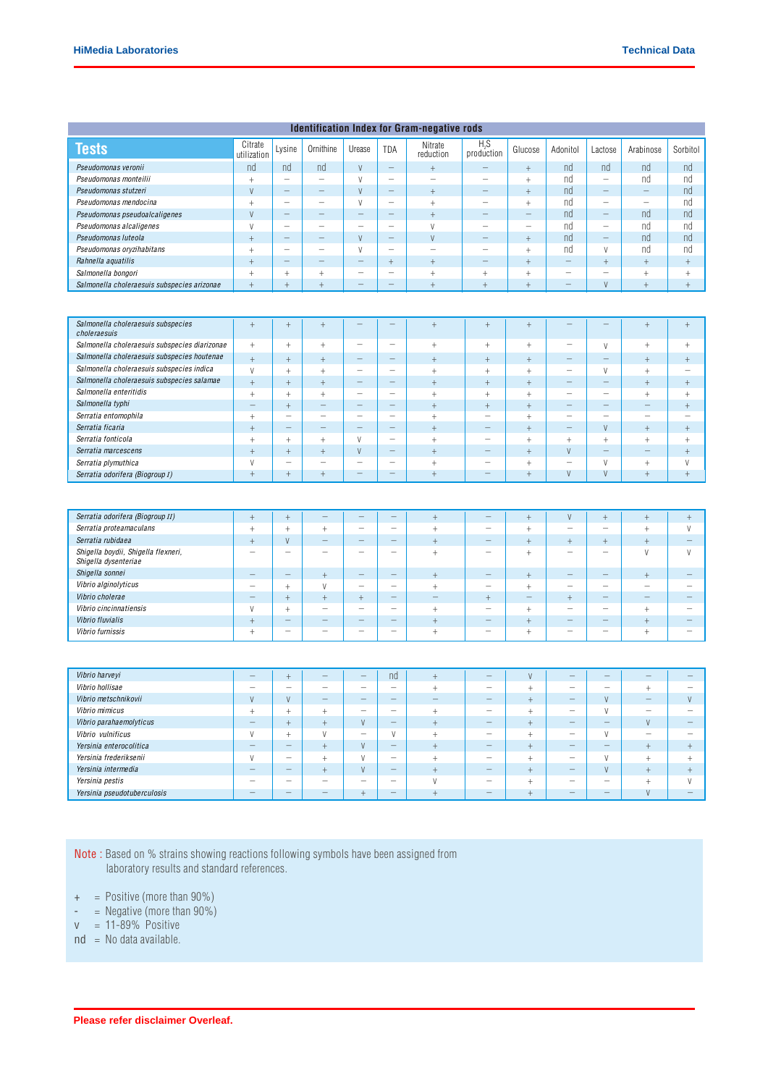| <b>Identification Index for Gram-negative rods</b>          |                                  |                          |                                  |                          |                                               |                                   |                                                      |                                  |                                  |                                              |                                             |                          |
|-------------------------------------------------------------|----------------------------------|--------------------------|----------------------------------|--------------------------|-----------------------------------------------|-----------------------------------|------------------------------------------------------|----------------------------------|----------------------------------|----------------------------------------------|---------------------------------------------|--------------------------|
| <b>Tests</b>                                                | Citrate<br>utilization           | Lysine                   | Ornithine                        | Urease                   | <b>TDA</b>                                    | Nitrate<br>reduction              | $H_2S$<br>production                                 | Glucose                          | Adonitol                         | Lactose                                      | Arabinose                                   | Sorbitol                 |
| Pseudomonas veronii                                         | nd                               | nd                       | nd                               | V                        | $-$                                           | $^{+}$                            | -                                                    | $^{+}$                           | nd                               | nd                                           | nd                                          | nd                       |
| Pseudomonas monteilii                                       | $\ddot{}$                        | $\overline{\phantom{0}}$ | $\overline{\phantom{0}}$         | $\vee$                   | $\overline{\phantom{0}}$                      | $\overline{\phantom{0}}$          | $\overline{\phantom{0}}$                             | $^{+}$                           | nd                               | $\overline{\phantom{0}}$                     | nd                                          | nd                       |
| Pseudomonas stutzeri                                        | V                                | $\overline{\phantom{0}}$ |                                  | $\vee$                   | $\overline{\phantom{0}}$                      | $\boldsymbol{+}$                  | $\qquad \qquad$                                      | $^{+}$                           | nd                               | $\qquad \qquad -$                            | $\equiv$                                    | nd                       |
| Pseudomonas mendocina                                       | $\qquad \qquad +$                | $\overline{\phantom{0}}$ | $\overline{\phantom{0}}$         | $\vee$                   |                                               | $^+$                              | $\overline{\phantom{0}}$                             | $^{+}$                           | nd                               |                                              | $\overline{\phantom{0}}$                    | nd                       |
| Pseudomonas pseudoalcaligenes                               | $\vee$                           | $\equiv$                 | $\equiv$                         | $\overline{\phantom{0}}$ | $=$                                           | $^{+}$                            | $\equiv$                                             | $-$                              | nd                               | $\qquad \qquad -$                            | nd                                          | nd                       |
| Pseudomonas alcaligenes                                     | $\vee$                           | $\overline{\phantom{0}}$ | $\overline{\phantom{0}}$         | $\overline{\phantom{0}}$ |                                               | $\vee$                            | $\overbrace{\phantom{123221111}}$                    | $\overline{\phantom{0}}$         | nd                               |                                              | nd                                          | nd                       |
| Pseudomonas luteola                                         | $+$                              | ⇔                        |                                  | V                        | $=$                                           | V                                 | $\overline{\phantom{0}}$                             | $^{+}$                           | nd                               | $\equiv$                                     | nd                                          | nd                       |
| Pseudomonas oryzihabitans                                   | $^{+}$                           | $\qquad \qquad -$        | $\qquad \qquad$                  | $\vee$                   | $\qquad \qquad -$                             | $\overbrace{\phantom{123221111}}$ | $\overbrace{\phantom{123221111}}$                    | $^{+}$                           | nd                               | V                                            | nd                                          | nd                       |
| Rahnella aquatilis                                          | $\begin{array}{c} + \end{array}$ | $\overline{\phantom{0}}$ | $\qquad \qquad -$                | -                        | $+$                                           | $^{+}$                            |                                                      | $^{+}$                           | $\overline{\phantom{m}}$         | $\boldsymbol{+}$                             | $\ddot{}$                                   | $^+$                     |
| Salmonella bongori                                          | $^{+}$                           | $^{+}$                   | $\begin{array}{c} + \end{array}$ | $\overline{\phantom{m}}$ |                                               | $^{+}$                            | $^{+}$                                               | $^{+}$                           | $\overline{\phantom{0}}$         |                                              | $^{+}$                                      | $+$                      |
| Salmonella choleraesuis subspecies arizonae                 | $^{+}$                           | $^{+}$                   | $^{+}$                           |                          |                                               | $^{+}$                            | $\bigoplus$                                          | $\! + \!$                        |                                  | $\mathsf{V}$                                 | $\! + \!$                                   | $^+$                     |
|                                                             |                                  |                          |                                  |                          |                                               |                                   |                                                      |                                  |                                  |                                              |                                             |                          |
| Salmonella choleraesuis subspecies<br>choleraesuis          | $^{+}$                           | $^{+}$                   | $\begin{array}{c} + \end{array}$ |                          |                                               | $^{+}$                            | $\boldsymbol{+}$                                     | $\boldsymbol{+}$                 |                                  |                                              | $^{+}$                                      | $^{+}$                   |
| Salmonella choleraesuis subspecies diarizonae               | $^+$                             | $^+$                     | $^+$                             | $\qquad \qquad -$        | $\overline{\phantom{0}}$                      | $^+$                              | $^+$                                                 | $^+$                             | $\overline{\phantom{0}}$         | V                                            | $^+$                                        | $^+$                     |
| Salmonella choleraesuis subspecies houtenae                 | $^{+}$                           | $^{+}$                   | $^{+}$                           | $\qquad \qquad -$        | -                                             | $^{+}$                            | $^{+}$                                               | $^{+}$                           | $\overline{\phantom{0}}$         | $\qquad \qquad -$                            | $^{+}$                                      | $^{+}$                   |
| Salmonella choleraesuis subspecies indica                   | $\vee$                           | $^{+}$                   | $^{+}$                           | $\qquad \qquad -$        | $\overline{\phantom{m}}$                      | $^{+}$                            | $^+$                                                 | $^{+}$                           | $\qquad \qquad -$                | V                                            | $^+$                                        | $\overline{\phantom{m}}$ |
| Salmonella choleraesuis subspecies salamae                  | $\ddot{}$                        | $^{+}$                   | $^{+}$                           | $\qquad \qquad -$        | $\overline{\phantom{0}}$                      | $^{+}$                            | $^{+}$                                               | $\boldsymbol{+}$                 |                                  | $\qquad \qquad -$                            | $^{+}$                                      | $^{+}$                   |
| Salmonella enteritidis                                      | $^+$                             | $^{+}$                   | $\begin{array}{c} + \end{array}$ | $\overline{\phantom{0}}$ | $\overline{\phantom{m}}$                      | $^{+}$                            | $^+$                                                 | $^{+}$                           | $\overline{\phantom{0}}$         | $\qquad \qquad -$                            | $^{+}$                                      | $^{+}$                   |
| Salmonella typhi                                            | ÷                                | $^{+}$                   | $\qquad \qquad -$                | $\qquad \qquad -$        | $\overline{\phantom{0}}$                      | $^{+}$                            | $^{+}$                                               | $\boldsymbol{+}$                 | $\qquad \qquad -$                | $\qquad \qquad -$                            | $\overline{\phantom{0}}$                    | $^{+}$                   |
| Serratia entomophila                                        | $^{+}$                           | $\qquad \qquad$          | $\qquad \qquad -$                | $\qquad \qquad -$        | $\qquad \qquad -$                             | $^+$                              | $\qquad \qquad$                                      | $^{+}$                           | $\qquad \qquad$                  | $\qquad \qquad -$                            | $\qquad \qquad -$                           | $\overline{\phantom{0}}$ |
| Serratia ficaria                                            | $^{+}$                           |                          |                                  |                          |                                               | $\ddot{}$                         |                                                      | $^+$                             |                                  | $\vee$                                       | $^{+}$                                      | $^{+}$                   |
| Serratia fonticola                                          | $^{+}$                           | $^+$                     | $\begin{array}{c} + \end{array}$ | V                        | $\qquad \qquad -$                             | $^+$                              | $\qquad \qquad -$<br>$\equiv$                        | $^{+}$                           | $^+$                             | $\begin{array}{c} + \end{array}$<br>$\equiv$ | $\! + \!\!\!\!$<br>$\overline{\phantom{0}}$ | $^+$                     |
| Serratia marcescens                                         | $^{+}$                           | $^{+}$                   | $\! + \!$                        | $\mathsf{V}$             | $\overline{\phantom{0}}$                      | $\ddot{}$                         |                                                      | $\begin{array}{c} + \end{array}$ | V                                |                                              |                                             | $^+$                     |
| Serratia plymuthica                                         | $\vee$                           | $\qquad \qquad$          | $\qquad \qquad -$                | $\qquad \qquad -$        | $\qquad \qquad -$<br>$\overline{\phantom{0}}$ | $^{+}$                            | $\overline{\phantom{m}}$<br>$\overline{\phantom{m}}$ | $^{+}$                           | $\qquad \qquad$                  | $\vee$<br>$\vee$                             | $^{+}$                                      | $\vee$                   |
| Serratia odorifera (Biogroup I)                             | $^{+}$                           | $^{+}$                   | $\! + \!$                        | $\qquad \qquad -$        |                                               | $^{+}$                            |                                                      | $^{+}$                           | V                                |                                              | $^+$                                        | $^{+}$                   |
|                                                             |                                  |                          |                                  |                          |                                               |                                   |                                                      |                                  |                                  |                                              |                                             |                          |
| Serratia odorifera (Biogroup II)                            | $^+$                             | $\ddag$                  | $\overline{\phantom{0}}$         | $\qquad \qquad -$        | $\qquad \qquad -$                             | $^{+}$                            | —                                                    | $^+$                             | V                                | $^{+}$                                       | $^{+}$                                      | $^{+}$                   |
| Serratia proteamaculans                                     | $^+$                             | $^+$                     | $^{+}$                           | $\qquad \qquad -$        | $\overline{\phantom{m}}$                      | $^{+}$                            | $\overline{\phantom{0}}$                             | $\begin{array}{c} + \end{array}$ | $\qquad \qquad -$                | $\overline{\phantom{0}}$                     | $^+$                                        | V                        |
| Serratia rubidaea                                           | $^{+}$                           | $\mathsf{V}$             | -                                | $\qquad \qquad -$        | $\overline{\phantom{0}}$                      | $^{+}$                            | —                                                    | $\! + \!$                        | $\begin{array}{c} + \end{array}$ | $^{+}$                                       | $^{+}$                                      |                          |
| Shigella boydii, Shigella flexneri,<br>Shigella dysenteriae | $\qquad \qquad$                  | -                        | $\overline{\phantom{0}}$         | $\qquad \qquad -$        | $\overline{\phantom{m}}$                      | $^{+}$                            | —                                                    | $^+$                             | $\overline{\phantom{0}}$         | $\overline{\phantom{0}}$                     | V                                           | V                        |
| Shigella sonnei                                             |                                  |                          | $^{+}$                           |                          |                                               | $\ddot{}$                         |                                                      | $^+$                             |                                  |                                              | $^{+}$                                      |                          |
| Vibrio alginolyticus                                        |                                  | $+$                      | V                                | $\qquad \qquad -$        | $\overline{\phantom{m}}$                      | $\begin{array}{c} + \end{array}$  | $\qquad \qquad -$                                    | $^{+}$                           | $\qquad \qquad -$                | $\qquad \qquad$                              | $\qquad \qquad -$                           | $\qquad \qquad -$        |
| Vibrio cholerae                                             | L.                               | $^{+}$                   | $^{+}$                           | $+$                      | $\overline{\phantom{0}}$                      | $\equiv$                          | $+$                                                  | $\equiv$                         | $+$                              | $\equiv$                                     | $\overline{\phantom{0}}$                    | -                        |
| Vibrio cincinnatiensis                                      | $\vee$                           | $\! + \!\!\!\!$          | $\qquad \qquad -$                | $\qquad \qquad$          | $\overline{\phantom{m}}$                      | $^{+}$                            | $\qquad \qquad -$                                    | $\begin{array}{c} + \end{array}$ | $\qquad \qquad -$                | $\overline{\phantom{0}}$                     | $^{+}$                                      | $\overline{\phantom{0}}$ |
| Vibrio fluvialis                                            | $^{+}$                           |                          | $\overline{\phantom{0}}$         | $\qquad \qquad -$        | $\qquad \qquad -$                             | $^{+}$                            | $\overline{\phantom{0}}$                             | $^+$                             |                                  | $\overline{\phantom{0}}$                     | $^{+}$                                      | $\qquad \qquad -$        |
| Vibrio furnissis                                            | $^{+}$                           |                          | $\qquad \qquad -$                | $\qquad \qquad -$        | $\overline{\phantom{m}}$                      | $^+$                              | $\qquad \qquad -$                                    | $\begin{array}{c} + \end{array}$ | $\qquad \qquad$                  | $\overline{\phantom{0}}$                     | $^{+}$                                      | $\qquad \qquad -$        |
|                                                             |                                  |                          |                                  |                          |                                               |                                   |                                                      |                                  |                                  |                                              |                                             |                          |
| Vibrio harveyi                                              |                                  | $^{+}$                   |                                  | $\qquad \qquad$          | nd                                            | $\ddot{}$                         |                                                      | V                                |                                  |                                              |                                             | $\overline{\phantom{0}}$ |
| Vibrio hollisae                                             | $\overline{\phantom{0}}$         | $\overline{\phantom{0}}$ | $\qquad \qquad -$                | $\overline{\phantom{0}}$ | $\qquad \qquad$                               | $^+$                              | $\qquad \qquad -$                                    | $^{+}$                           | $\overline{\phantom{m}}$         | $\qquad \qquad -$                            | $\qquad \qquad +$                           | $\overline{\phantom{0}}$ |
| Vibrio metschnikovii                                        | V                                |                          |                                  |                          |                                               |                                   |                                                      | ÷                                |                                  | V                                            |                                             | $\vee$                   |
| Vibrio mimicus                                              | $^{+}$                           | $^{+}$                   | $\qquad \qquad +$                | $\overline{\phantom{0}}$ | $\overline{\phantom{m}}$                      | $^{+}$                            | $\overline{\phantom{0}}$                             | $^+$                             | $\overline{\phantom{m}}$         | V                                            | $\overline{\phantom{m}}$                    | $\qquad \qquad -$        |
| Vibrio parahaemolyticus                                     | $\overline{\phantom{0}}$         | $^{+}$                   | $^+$                             | $\mathsf{V}$             | $\qquad \qquad -$                             | $\ddot{}$                         | $\qquad \qquad -$                                    | $^+$                             | $\overline{\phantom{m}}$         | $\qquad \qquad -$                            | $\mathsf{V}$                                | $\qquad \qquad -$        |
| Vibrio vulnificus                                           | $\vee$                           | $^{+}$                   | V                                | $\qquad \qquad -$        | V                                             | $^{+}$                            | $\overline{\phantom{m}}$                             | $+$                              | $\overline{\phantom{0}}$         | $\vee$                                       | $\overline{\phantom{a}}$                    | $\overline{\phantom{0}}$ |
| Yersinia enterocolitica                                     | $\qquad \qquad -$                | —                        | $^+$                             | $\mathsf{V}$             | $\qquad \qquad -$                             | $\qquad \qquad +$                 | $\qquad \qquad -$                                    | $^+$                             | $\overline{\phantom{m}}$         | $\qquad \qquad -$                            | $\begin{array}{c} + \end{array}$            | $+$                      |
| Yersinia frederiksenii                                      | $\vee$                           | $\overline{\phantom{0}}$ | $\qquad \qquad +$                | V                        | $\qquad \qquad -$                             | $^{+}$                            | $\qquad \qquad -$                                    | $^{+}$                           | $\overline{\phantom{m}}$         | V                                            | $\qquad \qquad +$                           | $+$                      |
| Yersinia intermedia                                         | $\qquad \qquad -$                | -                        | $^+$                             | $\mathsf{V}$             | $\qquad \qquad -$                             | $^+$                              | $\qquad \qquad -$                                    | $^+$                             | $\qquad \qquad -$                | $\mathsf{V}$                                 | $\boldsymbol{+}$                            | $+$                      |
| Yersinia pestis                                             | $\overline{\phantom{0}}$         | $\qquad \qquad -$        | $\qquad \qquad -$                | $\overline{\phantom{0}}$ | $\qquad \qquad -$                             | V                                 | -                                                    | $^+$                             | $\overline{\phantom{m}}$         | $\qquad \qquad -$                            | $\! +$                                      | V                        |
| Yersinia pseudotuberculosis                                 | -                                |                          | —                                | $^{+}$                   | $\overline{\phantom{m}}$                      | $^+$                              | $\qquad \qquad -$                                    | $\begin{array}{c} + \end{array}$ | $\overline{\phantom{m}}$         | $\overline{\phantom{0}}$                     | $\mathsf{V}$                                | $-$                      |
|                                                             |                                  |                          |                                  |                          |                                               |                                   |                                                      |                                  |                                  |                                              |                                             |                          |

Note : Based on % strains showing reactions following symbols have been assigned from laboratory results and standard references.

- $+$  = Positive (more than 90%)
- = Negative (more than 90%)
- $v = 11-89\%$  Positive
- nd = No data available.